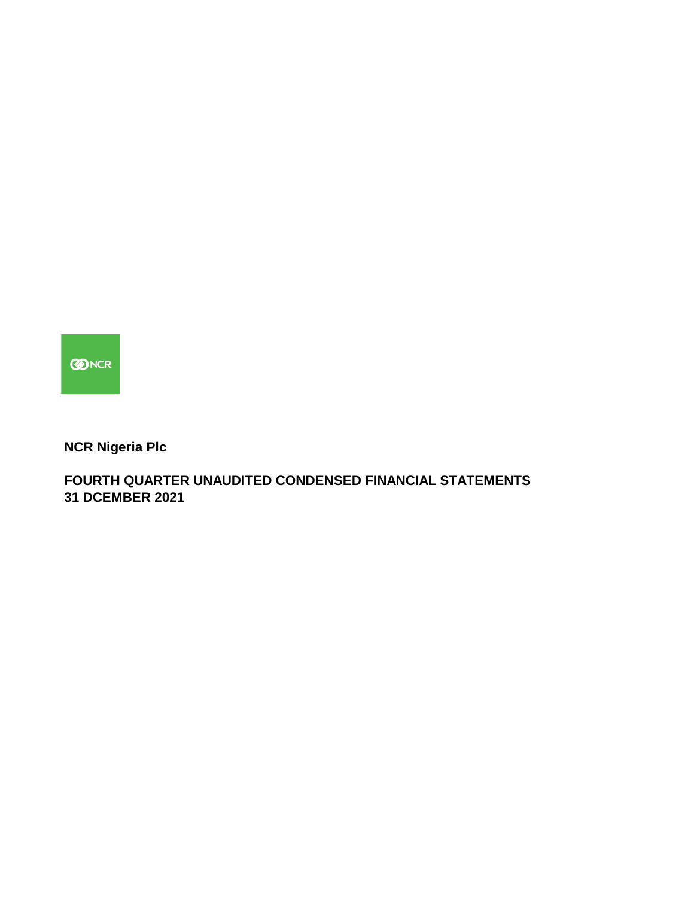

**FOURTH QUARTER UNAUDITED CONDENSED FINANCIAL STATEMENTS 31 DCEMBER 2021**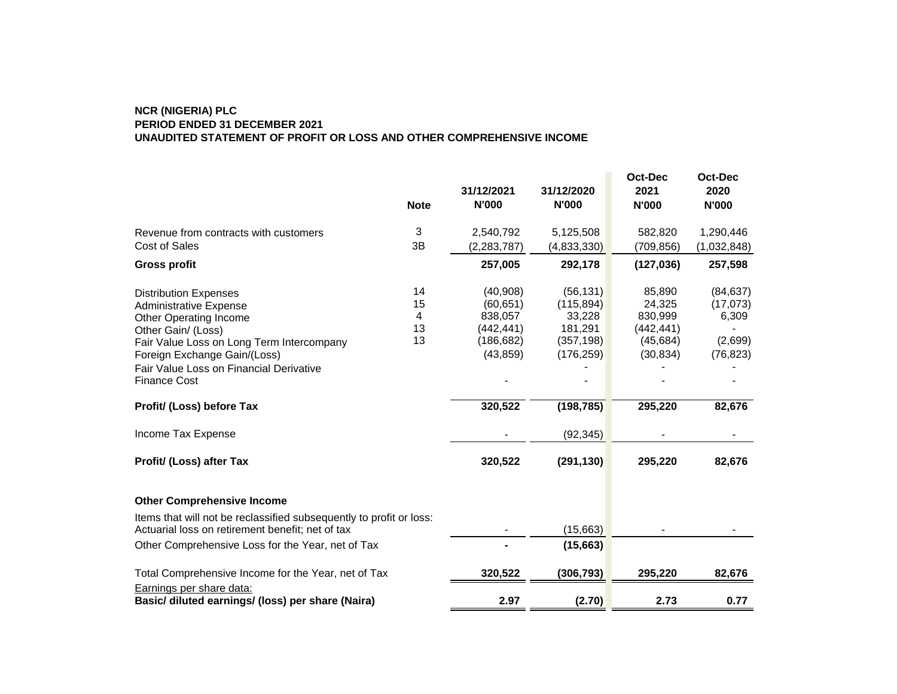## **NCR (NIGERIA) PLC PERIOD ENDED 31 DECEMBER 2021 UNAUDITED STATEMENT OF PROFIT OR LOSS AND OTHER COMPREHENSIVE INCOME**

|                                                                                                                         | <b>Note</b> | 31/12/2021<br><b>N'000</b> | 31/12/2020<br><b>N'000</b> | <b>Oct-Dec</b><br>2021<br><b>N'000</b> | <b>Oct-Dec</b><br>2020<br><b>N'000</b> |
|-------------------------------------------------------------------------------------------------------------------------|-------------|----------------------------|----------------------------|----------------------------------------|----------------------------------------|
| Revenue from contracts with customers                                                                                   | 3           | 2,540,792                  | 5,125,508                  | 582,820                                | 1,290,446                              |
| <b>Cost of Sales</b>                                                                                                    | 3B          | (2, 283, 787)              | (4,833,330)                | (709, 856)                             | (1,032,848)                            |
| <b>Gross profit</b>                                                                                                     |             | 257,005                    | 292,178                    | (127, 036)                             | 257,598                                |
| <b>Distribution Expenses</b>                                                                                            | 14          | (40,908)                   | (56, 131)                  | 85,890                                 | (84, 637)                              |
| <b>Administrative Expense</b>                                                                                           | 15          | (60, 651)                  | (115, 894)                 | 24,325                                 | (17, 073)                              |
| <b>Other Operating Income</b>                                                                                           | 4           | 838,057                    | 33,228                     | 830,999                                | 6,309                                  |
| Other Gain/ (Loss)                                                                                                      | 13          | (442, 441)                 | 181,291                    | (442, 441)                             |                                        |
| Fair Value Loss on Long Term Intercompany                                                                               | 13          | (186, 682)                 | (357, 198)                 | (45, 684)                              | (2,699)                                |
| Foreign Exchange Gain/(Loss)<br>Fair Value Loss on Financial Derivative                                                 |             | (43, 859)                  | (176, 259)                 | (30, 834)                              | (76, 823)                              |
| <b>Finance Cost</b>                                                                                                     |             |                            |                            |                                        |                                        |
| Profit/ (Loss) before Tax                                                                                               |             | 320,522                    | (198, 785)                 | 295,220                                | 82,676                                 |
| Income Tax Expense                                                                                                      |             |                            | (92, 345)                  |                                        |                                        |
| Profit/ (Loss) after Tax                                                                                                |             | 320,522                    | (291, 130)                 | 295,220                                | 82,676                                 |
| <b>Other Comprehensive Income</b>                                                                                       |             |                            |                            |                                        |                                        |
| Items that will not be reclassified subsequently to profit or loss:<br>Actuarial loss on retirement benefit: net of tax |             |                            | (15,663)                   |                                        |                                        |
| Other Comprehensive Loss for the Year, net of Tax                                                                       |             |                            | (15,663)                   |                                        |                                        |
| Total Comprehensive Income for the Year, net of Tax                                                                     |             | 320,522                    | (306, 793)                 | 295,220                                | 82,676                                 |
| Earnings per share data:                                                                                                |             |                            |                            |                                        |                                        |
| Basic/ diluted earnings/ (loss) per share (Naira)                                                                       |             | 2.97                       | (2.70)                     | 2.73                                   | 0.77                                   |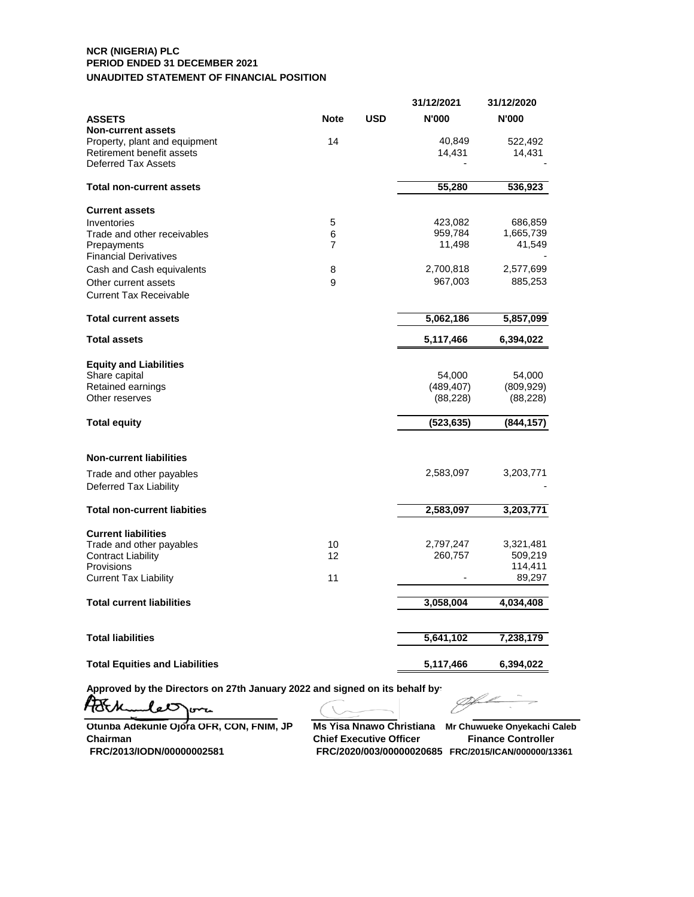## **NCR (NIGERIA) PLC PERIOD ENDED 31 DECEMBER 2021 UNAUDITED STATEMENT OF FINANCIAL POSITION**

|                                                         |             |            | 31/12/2021   | 31/12/2020   |
|---------------------------------------------------------|-------------|------------|--------------|--------------|
| <b>ASSETS</b>                                           | <b>Note</b> | <b>USD</b> | <b>N'000</b> | <b>N'000</b> |
| <b>Non-current assets</b>                               |             |            |              |              |
| Property, plant and equipment                           | 14          |            | 40,849       | 522,492      |
| Retirement benefit assets<br><b>Deferred Tax Assets</b> |             |            | 14,431       | 14,431       |
| <b>Total non-current assets</b>                         |             |            | 55,280       | 536,923      |
| <b>Current assets</b>                                   |             |            |              |              |
| Inventories                                             | 5           |            | 423,082      | 686,859      |
| Trade and other receivables                             | 6           |            | 959,784      | 1,665,739    |
| Prepayments                                             | 7           |            | 11,498       | 41,549       |
| <b>Financial Derivatives</b>                            |             |            |              |              |
| Cash and Cash equivalents                               | 8           |            | 2,700,818    | 2,577,699    |
| Other current assets                                    | 9           |            | 967,003      | 885,253      |
| <b>Current Tax Receivable</b>                           |             |            |              |              |
| <b>Total current assets</b>                             |             |            | 5,062,186    | 5,857,099    |
| <b>Total assets</b>                                     |             |            | 5,117,466    | 6,394,022    |
| <b>Equity and Liabilities</b>                           |             |            |              |              |
| Share capital                                           |             |            | 54,000       | 54,000       |
| Retained earnings                                       |             |            | (489, 407)   | (809, 929)   |
| Other reserves                                          |             |            | (88, 228)    | (88, 228)    |
| <b>Total equity</b>                                     |             |            | (523, 635)   | (844, 157)   |
| <b>Non-current liabilities</b>                          |             |            |              |              |
| Trade and other payables                                |             |            | 2,583,097    | 3,203,771    |
| Deferred Tax Liability                                  |             |            |              |              |
| <b>Total non-current liabities</b>                      |             |            | 2,583,097    | 3,203,771    |
| <b>Current liabilities</b>                              |             |            |              |              |
| Trade and other payables                                | 10          |            | 2,797,247    | 3,321,481    |
| <b>Contract Liability</b>                               | 12          |            | 260,757      | 509,219      |
| Provisions                                              |             |            |              | 114,411      |
| <b>Current Tax Liability</b>                            | 11          |            |              | 89,297       |
| <b>Total current liabilities</b>                        |             |            | 3,058,004    | 4,034,408    |
| <b>Total liabilities</b>                                |             |            | 5,641,102    | 7,238,179    |
| <b>Total Equities and Liabilities</b>                   |             |            | 5,117,466    | 6,394,022    |
|                                                         |             |            |              |              |

**Approved by the Directors on 27th January 2022 and signed on its behalf by:**

Porkulet  $m$ 

 $\bar{f}$ 

**Otunba Adekunle Ojora OFR, CON, FNIM, JP Ms Yisa Nnawo Christiana Mr Chuwueke Onyekachi Caleb Chairman Chief Executive Officer Finance Controller**

**FRC/2013/IODN/00000002581 FRC/2020/003/00000020685 FRC/2015/ICAN/000000/13361**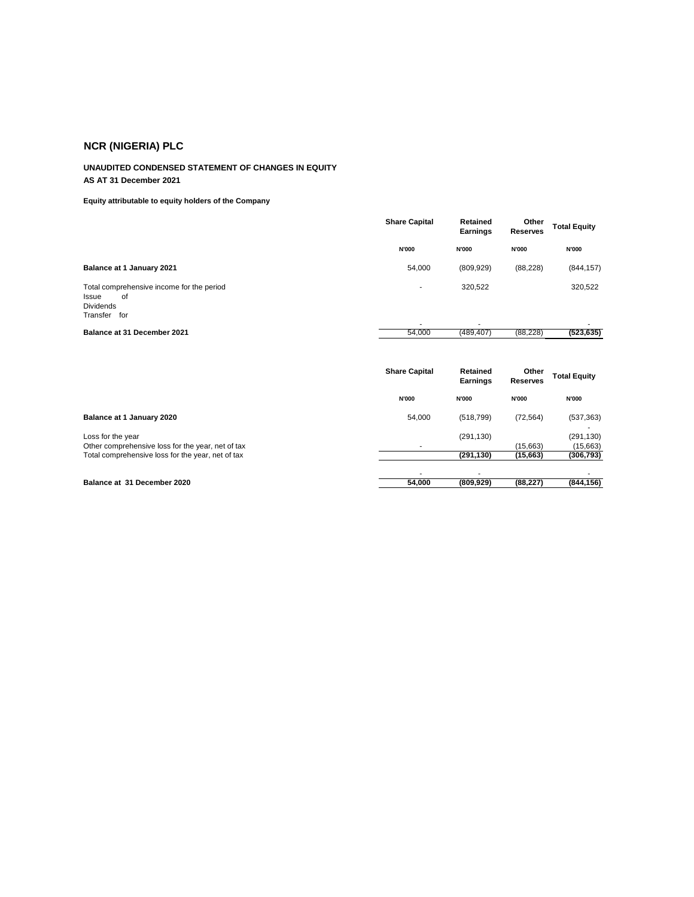## **NCR (NIGERIA) PLC**

## **UNAUDITED CONDENSED STATEMENT OF CHANGES IN EQUITY AS AT 31 December 2021**

**Equity attributable to equity holders of the Company**

|                                                                                                 | <b>Share Capital</b> | <b>Retained</b><br><b>Earnings</b> | Other<br><b>Reserves</b> | <b>Total Equity</b> |
|-------------------------------------------------------------------------------------------------|----------------------|------------------------------------|--------------------------|---------------------|
|                                                                                                 | N'000                | N'000                              | <b>N'000</b>             | N'000               |
| Balance at 1 January 2021                                                                       | 54,000               | (809, 929)                         | (88, 228)                | (844, 157)          |
| Total comprehensive income for the period<br>of<br>Issue<br><b>Dividends</b><br>Transfer<br>for | ٠                    | 320,522                            |                          | 320,522             |
| Balance at 31 December 2021                                                                     | ٠<br>54,000          | ٠<br>(489, 407)                    | (88, 228)                | (523, 635)          |
|                                                                                                 | <b>Share Capital</b> | Retained<br><b>Earnings</b>        | Other<br><b>Reserves</b> | <b>Total Equity</b> |
|                                                                                                 | N'000                | <b>N'000</b>                       | <b>N'000</b>             | N'000               |

 $(291, 130)$ 

- - -

| Balance at 1 January 2020 | 54.000 | (518.799) | (72, 564) | (537, 363) |
|---------------------------|--------|-----------|-----------|------------|
|                           |        |           |           |            |

Loss for the year (291,130) (291,130) Other comprehensive loss for the year, net of tax - (15,663) (15,663) (15,663) (15,663) Other comprehensive loss for the year, net of tax (15,663) (15,663) (15,663) (15,663) (15,663) (15,663) (15,663) (306,793) (306,793)

### **Balance at 31 December 2020 54,000 (809,929) (88,227) (844,156)**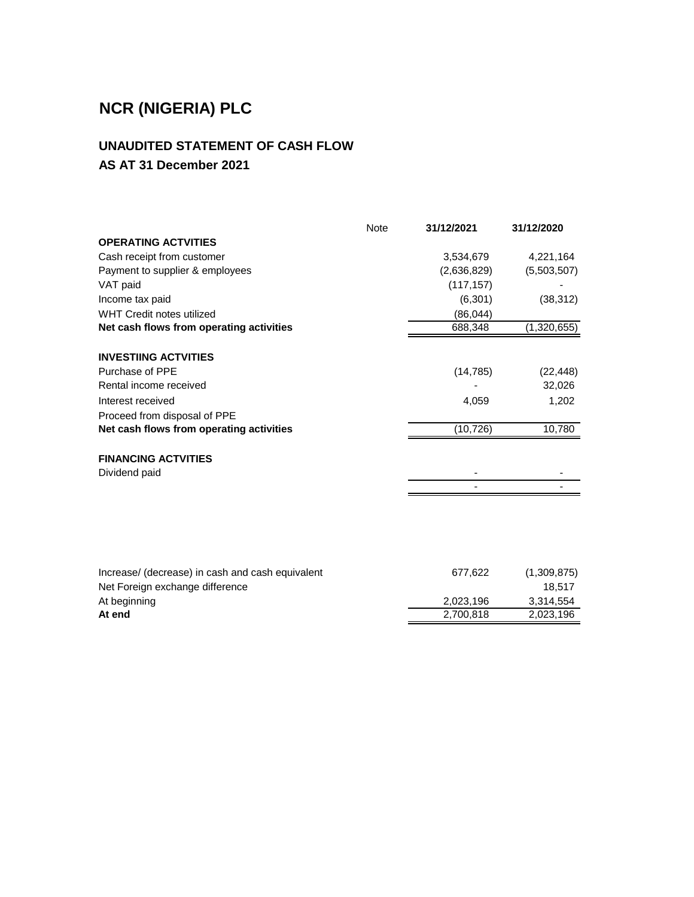# **NCR (NIGERIA) PLC**

## **UNAUDITED STATEMENT OF CASH FLOW**

**AS AT 31 December 2021**

|                                                  | <b>Note</b> | 31/12/2021  | 31/12/2020  |
|--------------------------------------------------|-------------|-------------|-------------|
| <b>OPERATING ACTVITIES</b>                       |             |             |             |
| Cash receipt from customer                       |             | 3,534,679   | 4,221,164   |
| Payment to supplier & employees                  |             | (2,636,829) | (5,503,507) |
| VAT paid                                         |             | (117, 157)  |             |
| Income tax paid                                  |             | (6, 301)    | (38, 312)   |
| WHT Credit notes utilized                        |             | (86, 044)   |             |
| Net cash flows from operating activities         |             | 688,348     | (1,320,655) |
| <b>INVESTIING ACTVITIES</b>                      |             |             |             |
| Purchase of PPE                                  |             | (14, 785)   | (22, 448)   |
| Rental income received                           |             |             | 32,026      |
| Interest received                                |             | 4,059       | 1,202       |
| Proceed from disposal of PPE                     |             |             |             |
| Net cash flows from operating activities         |             | (10, 726)   | 10,780      |
| <b>FINANCING ACTVITIES</b>                       |             |             |             |
| Dividend paid                                    |             |             |             |
|                                                  |             |             |             |
|                                                  |             |             |             |
| Increase/ (decrease) in cash and cash equivalent |             | 677,622     | (1,309,875) |
| Net Foreign exchange difference                  |             |             | 18,517      |
| At beginning                                     |             | 2,023,196   | 3,314,554   |
| At end                                           |             | 2,700,818   | 2,023,196   |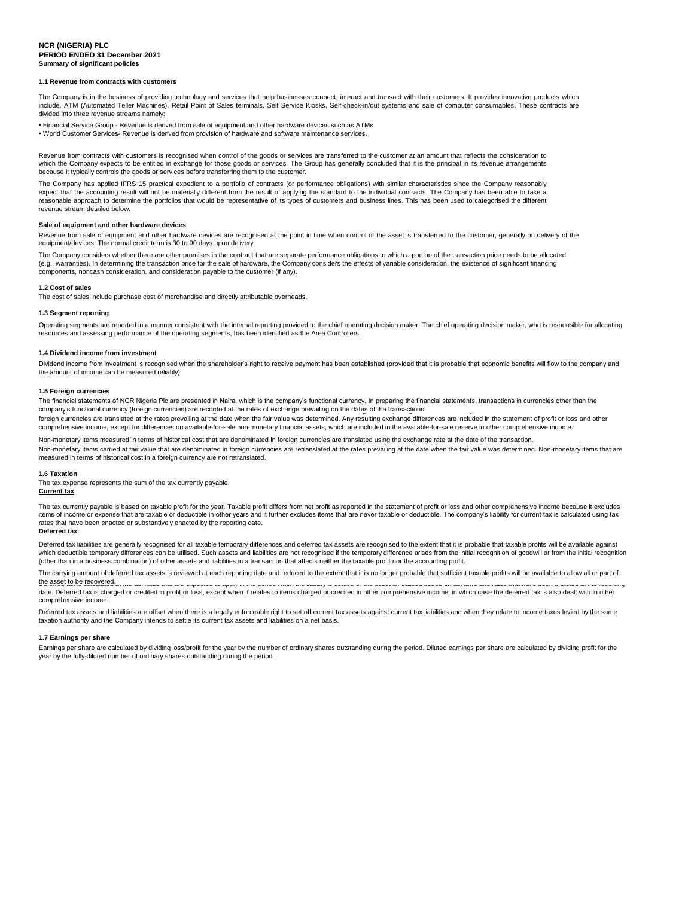#### **1.1 Revenue from contracts with customers**

The Company is in the business of providing technology and services that help businesses connect, interact and transact with their customers. It provides innovative products which include, ATM (Automated Teller Machines), Retail Point of Sales terminals, Self Service Kiosks, Self-check-in/out systems and sale of computer consumables. These contracts are divided into three revenue streams namely:

- Financial Service Group Revenue is derived from sale of equipment and other hardware devices such as ATMs
- World Customer Services- Revenue is derived from provision of hardware and software maintenance services.

Revenue from contracts with customers is recognised when control of the goods or services are transferred to the customer at an amount that reflects the consideration to which the Company expects to be entitled in exchange for those goods or services. The Group has generally concluded that it is the principal in its revenue arrangements because it typically controls the goods or services before transferring them to the customer.

The Company has applied IFRS 15 practical expedient to a portfolio of contracts (or performance obligations) with similar characteristics since the Company reasonably expect that the accounting result will not be materially different from the result of applying the standard to the individual contracts. The Company has been able to take a reasonable approach to determine the portfolios that would be representative of its types of customers and business lines. This has been used to categorised the different revenue stream detailed below.

#### **Sale of equipment and other hardware devices**

Revenue from sale of equipment and other hardware devices are recognised at the point in time when control of the asset is transferred to the customer, generally on delivery of the equipment/devices. The normal credit term is 30 to 90 days upon delivery.

The Company considers whether there are other promises in the contract that are separate performance obligations to which a portion of the transaction price needs to be allocated (e.g., warranties). In determining the transaction price for the sale of hardware, the Company considers the effects of variable consideration, the existence of significant financing components, noncash consideration, and consideration payable to the customer (if any).

#### **1.2 Cost of sales**

The cost of sales include purchase cost of merchandise and directly attributable overheads.

#### **1.3 Segment reporting**

Operating segments are reported in a manner consistent with the internal reporting provided to the chief operating decision maker. The chief operating decision maker, who is responsible for allocating resources and assessing performance of the operating segments, has been identified as the Area Controllers.

#### **1.4 Dividend income from investment**

Dividend income from investment is recognised when the shareholder's right to receive payment has been established (provided that it is probable that economic benefits will flow to the company and the amount of income can be measured reliably).

#### **1.5 Foreign currencies**

company's functional currency (foreign currencies) are recorded at the rates of exchange prevailing on the dates of the transactions. foreign currencies are translated at the rates prevailing at the date when the fair value was determined. Any resulting exchange differences are included in the statement of profit or loss and other comprehensive income, except for differences on available-for-sale non-monetary financial assets, which are included in the available-for-sale reserve in other comprehensive income. The financial statements of NCR Nigeria Plc are presented in Naira, which is the company's functional currency. In preparing the financial statements, transactions in currencies other than the

Non-monetary items measured in terms of historical cost that are denominated in foreign currencies are translated using the exchange rate at the date of the transaction. Non-monetary items carried at fair value that are denominated in foreign currencies are retranslated at the rates prevailing at the date when the fair value was determined. Non-monetary items that are measured in terms of historical cost in a foreign currency are not retranslated.

#### **1.6 Taxation**

The tax expense represents the sum of the tax currently payable.

#### **Current tax**

The tax currently payable is based on taxable profit for the year. Taxable profit differs from net profit as reported in the statement of profit or loss and other comprehensive income because it excludes items of income or expense that are taxable or deductible in other years and it further excludes items that are never taxable or deductible. The company's liability for current tax is calculated using tax rates that have been enacted or substantively enacted by the reporting date.

#### **Deferred tax**

Deferred tax liabilities are generally recognised for all taxable temporary differences and deferred tax assets are recognised to the extent that it is probable that taxable profits will be available against which deductible temporary differences can be utilised. Such assets and liabilities are not recognised if the temporary difference arises from the initial recognition of goodwill or from the initial recognition (other than in a business combination) of other assets and liabilities in a transaction that affects neither the taxable profit nor the accounting profit.

The carrying amount of deferred tax assets is reviewed at each reporting date and reduced to the extent that it is no longer probable that sufficient taxable profits will be available to allow all or part of

the asset to be recovered.<br>date. Deferred tax is charged or credited in profit or loss, except when it relates to items charged or credited in other comprehensive income, in which case the deferred tax is also dealt with i comprehensive income. the asset to be recovered.

Deferred tax assets and liabilities are offset when there is a legally enforceable right to set off current tax assets against current tax liabilities and when they relate to income taxes levied by the same taxation authority and the Company intends to settle its current tax assets and liabilities on a net basis.

#### **1.7 Earnings per share**

Earnings per share are calculated by dividing loss/profit for the year by the number of ordinary shares outstanding during the period. Diluted earnings per share are calculated by dividing profit for the year by the fully-diluted number of ordinary shares outstanding during the period.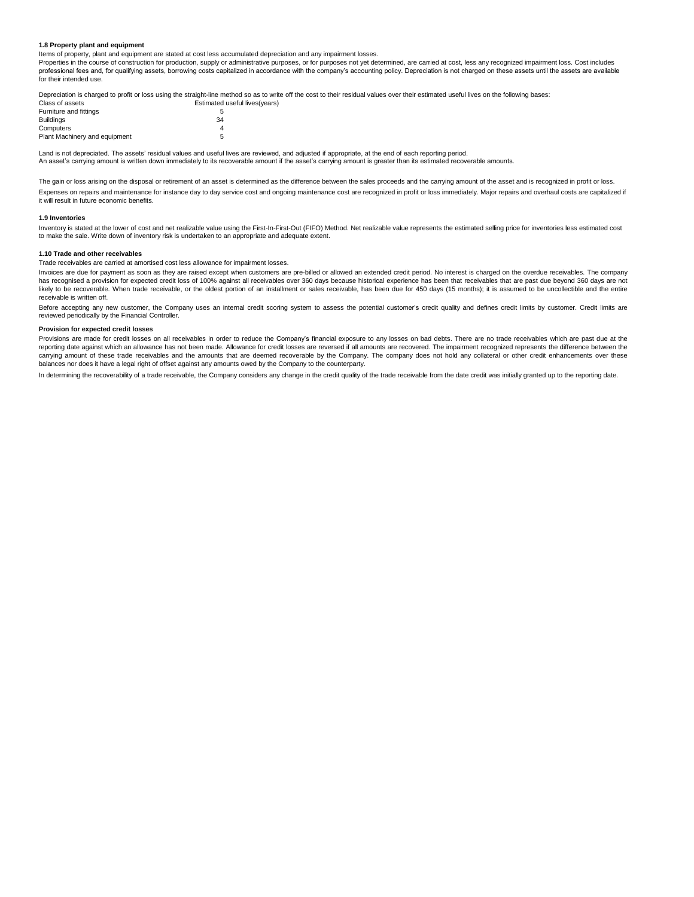#### **1.8 Property plant and equipment**

Items of property, plant and equipment are stated at cost less accumulated depreciation and any impairment losses.

Properties in the course of construction for production, supply or administrative purposes, or for purposes not yet determined, are carried at cost, less any recognized impairment loss. Cost includes professional fees and, for qualifying assets, borrowing costs capitalized in accordance with the company's accounting policy. Depreciation is not charged on these assets until the assets are available for their intended use.

Class of assets Estimated useful lives(years) Depreciation is charged to profit or loss using the straight-line method so as to write off the cost to their residual values over their estimated useful lives on the following bases:

| Furniture and fittings        | 5  |
|-------------------------------|----|
| <b>Buildings</b>              | 34 |
| Computers                     | 4  |
| Plant Machinery and equipment |    |

Land is not depreciated. The assets' residual values and useful lives are reviewed, and adjusted if appropriate, at the end of each reporting period. An asset's carrying amount is written down immediately to its recoverable amount if the asset's carrying amount is greater than its estimated recoverable amounts.

Expenses on repairs and maintenance for instance day to day service cost and ongoing maintenance cost are recognized in profit or loss immediately. Major repairs and overhaul costs are capitalized if it will result in future economic benefits. The gain or loss arising on the disposal or retirement of an asset is determined as the difference between the sales proceeds and the carrying amount of the asset and is recognized in profit or loss.

#### **1.9 Inventories**

Inventory is stated at the lower of cost and net realizable value using the First-In-First-Out (FIFO) Method. Net realizable value represents the estimated selling price for inventories less estimated cost to make the sale. Write down of inventory risk is undertaken to an appropriate and adequate extent.

#### **1.10 Trade and other receivables**

#### Trade receivables are carried at amortised cost less allowance for impairment losses.

Invoices are due for payment as soon as they are raised except when customers are pre-billed or allowed an extended credit period. No interest is charged on the overdue receivables. The company has recognised a provision for expected credit loss of 100% against all receivables over 360 days because historical experience has been that receivables that are past due beyond 360 days are not likely to be recoverable. When trade receivable, or the oldest portion of an installment or sales receivable, has been due for 450 days (15 months); it is assumed to be uncollectible and the entire receivable is written off.

Before accepting any new customer, the Company uses an internal credit scoring system to assess the potential customer's credit quality and defines credit limits by customer. Credit limits are reviewed periodically by the Financial Controller.

#### **Provision for expected credit losses**

Provisions are made for credit losses on all receivables in order to reduce the Company's financial exposure to any losses on bad debts. There are no trade receivables which are past due at the reporting date against which an allowance has not been made. Allowance for credit losses are reversed if all amounts are recovered. The impairment recognized represents the difference between the carrying amount of these trade receivables and the amounts that are deemed recoverable by the Company. The company does not hold any collateral or other credit enhancements over these balances nor does it have a legal right of offset against any amounts owed by the Company to the counterparty.

In determining the recoverability of a trade receivable, the Company considers any change in the credit quality of the trade receivable from the date credit was initially granted up to the reporting date.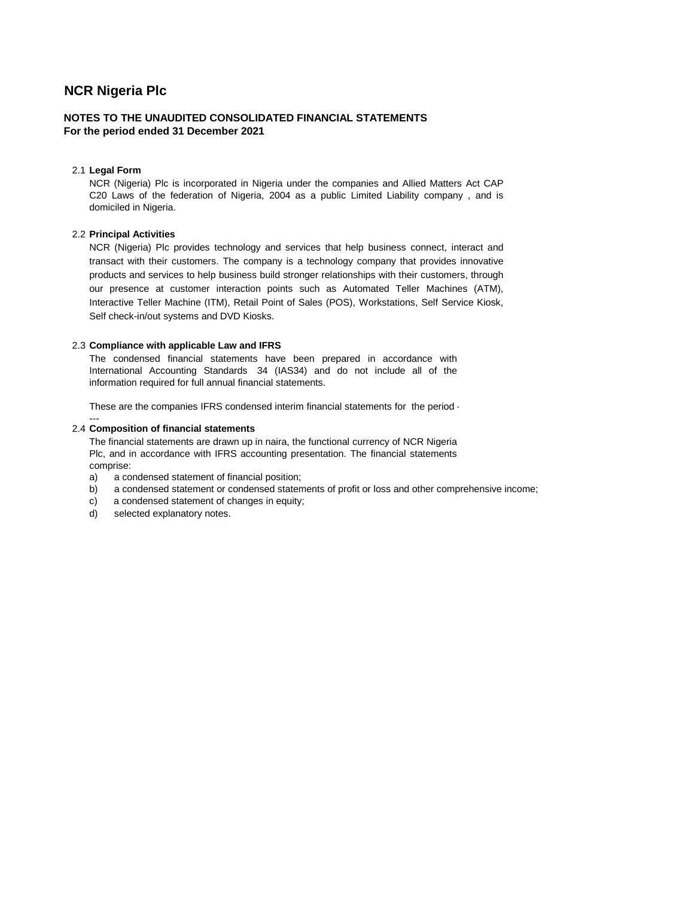## **NOTES TO THE UNAUDITED CONSOLIDATED FINANCIAL STATEMENTS For the period ended 31 December 2021**

## 2.1 **Legal Form**

NCR (Nigeria) Plc is incorporated in Nigeria under the companies and Allied Matters Act CAP C20 Laws of the federation of Nigeria, 2004 as a public Limited Liability company , and is domiciled in Nigeria.

### 2.2 **Principal Activities**

NCR (Nigeria) Plc provides technology and services that help business connect, interact and transact with their customers. The company is a technology company that provides innovative products and services to help business build stronger relationships with their customers, through our presence at customer interaction points such as Automated Teller Machines (ATM), Interactive Teller Machine (ITM), Retail Point of Sales (POS), Workstations, Self Service Kiosk, Self check-in/out systems and DVD Kiosks.

### 2.3 **Compliance with applicable Law and IFRS**

The condensed financial statements have been prepared in accordance with International Accounting Standards 34 (IAS34) and do not include all of the information required for full annual financial statements.

These are the companies IFRS condensed interim financial statements for the period -

#### 2.4 **Composition of financial statements** ---

The financial statements are drawn up in naira, the functional currency of NCR Nigeria Plc, and in accordance with IFRS accounting presentation. The financial statements comprise:

- a) a condensed statement of financial position;
- b) a condensed statement or condensed statements of profit or loss and other comprehensive income;
- c) a condensed statement of changes in equity;
- d) selected explanatory notes.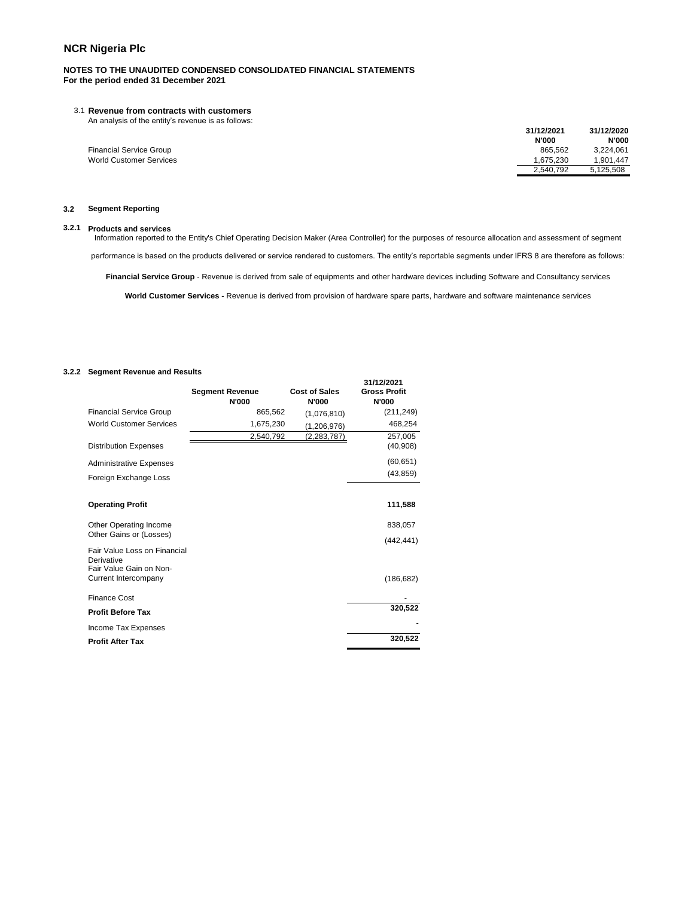### **NOTES TO THE UNAUDITED CONDENSED CONSOLIDATED FINANCIAL STATEMENTS For the period ended 31 December 2021**

#### 3.1 **Revenue from contracts with customers** An analysis of the entity's revenue is as follows:

| run annan peneren un es en un provisione de nome men |              |              |
|------------------------------------------------------|--------------|--------------|
|                                                      | 31/12/2021   | 31/12/2020   |
|                                                      | <b>N'000</b> | <b>N'000</b> |
| <b>Financial Service Group</b>                       | 865.562      | 3,224,061    |
| <b>World Customer Services</b>                       | 1.675.230    | 1.901.447    |
|                                                      | 2,540,792    | 5.125.508    |
|                                                      |              |              |

#### **3.2 Segment Reporting**

## **3.2.1 Products and services**

Information reported to the Entity's Chief Operating Decision Maker (Area Controller) for the purposes of resource allocation and assessment of segment performance is based on the products delivered or service rendered to customers. The entity's reportable segments under IFRS 8 are therefore as follows: **Financial Service Group** - Revenue is derived from sale of equipments and other hardware devices including Software and Consultancy services **World Customer Services -** Revenue is derived from provision of hardware spare parts, hardware and software maintenance services

### **3.2.2 Segment Revenue and Results**

|                                                                       | <b>Segment Revenue</b><br><b>N'000</b> | <b>Cost of Sales</b><br><b>N'000</b> | 31/12/2021<br><b>Gross Profit</b><br><b>N'000</b> |
|-----------------------------------------------------------------------|----------------------------------------|--------------------------------------|---------------------------------------------------|
| <b>Financial Service Group</b>                                        | 865,562                                | (1,076,810)                          | (211, 249)                                        |
| <b>World Customer Services</b>                                        | 1,675,230                              | (1,206,976)                          | 468,254                                           |
| <b>Distribution Expenses</b>                                          | 2,540,792                              | (2, 283, 787)                        | 257,005<br>(40, 908)                              |
| <b>Administrative Expenses</b>                                        |                                        |                                      | (60, 651)                                         |
| Foreign Exchange Loss                                                 |                                        |                                      | (43, 859)                                         |
|                                                                       |                                        |                                      |                                                   |
| <b>Operating Profit</b>                                               |                                        |                                      | 111,588                                           |
| Other Operating Income<br>Other Gains or (Losses)                     |                                        |                                      | 838,057                                           |
| Fair Value Loss on Financial<br>Derivative<br>Fair Value Gain on Non- |                                        |                                      | (442, 441)                                        |
| Current Intercompany                                                  |                                        |                                      | (186, 682)                                        |
| <b>Finance Cost</b>                                                   |                                        |                                      |                                                   |
| <b>Profit Before Tax</b>                                              |                                        |                                      | 320,522                                           |
| Income Tax Expenses                                                   |                                        |                                      |                                                   |
| <b>Profit After Tax</b>                                               |                                        |                                      | 320,522                                           |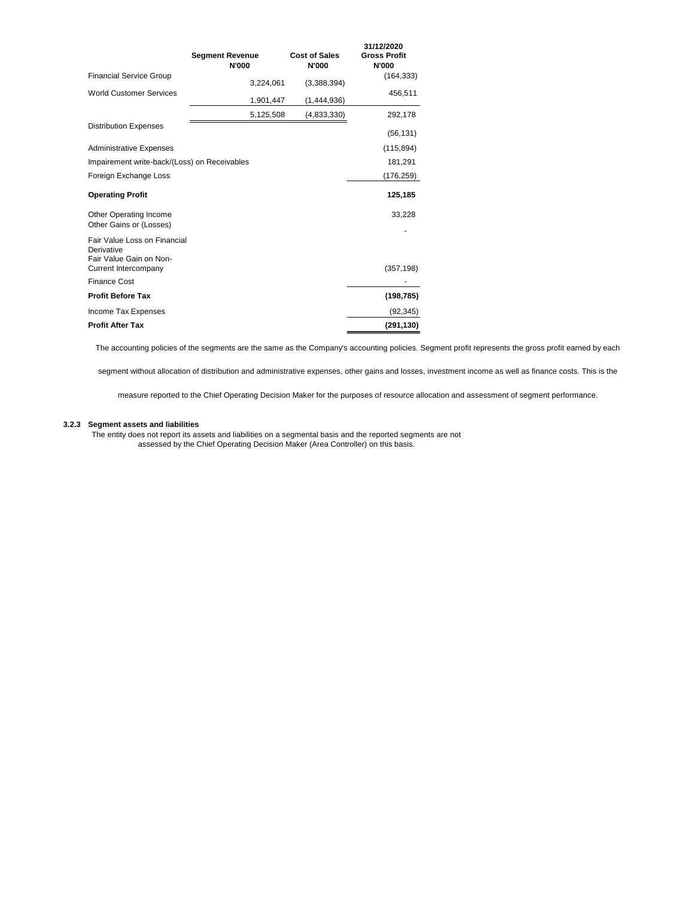|                                                                                               | <b>Segment Revenue</b><br><b>N'000</b> | <b>Cost of Sales</b><br>N'000 | 31/12/2020<br><b>Gross Profit</b><br>N'000 |
|-----------------------------------------------------------------------------------------------|----------------------------------------|-------------------------------|--------------------------------------------|
| <b>Financial Service Group</b>                                                                |                                        |                               | (164, 333)                                 |
| <b>World Customer Services</b>                                                                | 3,224,061                              | (3,388,394)                   | 456,511                                    |
|                                                                                               | 1,901,447                              | (1,444,936)                   |                                            |
|                                                                                               | 5,125,508                              | (4,833,330)                   | 292,178                                    |
| <b>Distribution Expenses</b>                                                                  |                                        |                               | (56, 131)                                  |
| <b>Administrative Expenses</b>                                                                |                                        |                               | (115, 894)                                 |
| Impairement write-back/(Loss) on Receivables                                                  |                                        |                               | 181,291                                    |
| Foreign Exchange Loss                                                                         |                                        |                               | (176, 259)                                 |
| <b>Operating Profit</b>                                                                       |                                        |                               | 125,185                                    |
| Other Operating Income<br>Other Gains or (Losses)                                             |                                        |                               | 33,228                                     |
| Fair Value Loss on Financial<br>Derivative<br>Fair Value Gain on Non-<br>Current Intercompany |                                        |                               | (357, 198)                                 |
| <b>Finance Cost</b>                                                                           |                                        |                               |                                            |
| <b>Profit Before Tax</b>                                                                      |                                        |                               | (198, 785)                                 |
| Income Tax Expenses                                                                           |                                        |                               | (92, 345)                                  |
| <b>Profit After Tax</b>                                                                       |                                        |                               | (291, 130)                                 |

The accounting policies of the segments are the same as the Company's accounting policies. Segment profit represents the gross profit earned by each

segment without allocation of distribution and administrative expenses, other gains and losses, investment income as well as finance costs. This is the

measure reported to the Chief Operating Decision Maker for the purposes of resource allocation and assessment of segment performance.

### **3.2.3 Segment assets and liabilities**

The entity does not report its assets and liabilities on a segmental basis and the reported segments are not assessed by the Chief Operating Decision Maker (Area Controller) on this basis.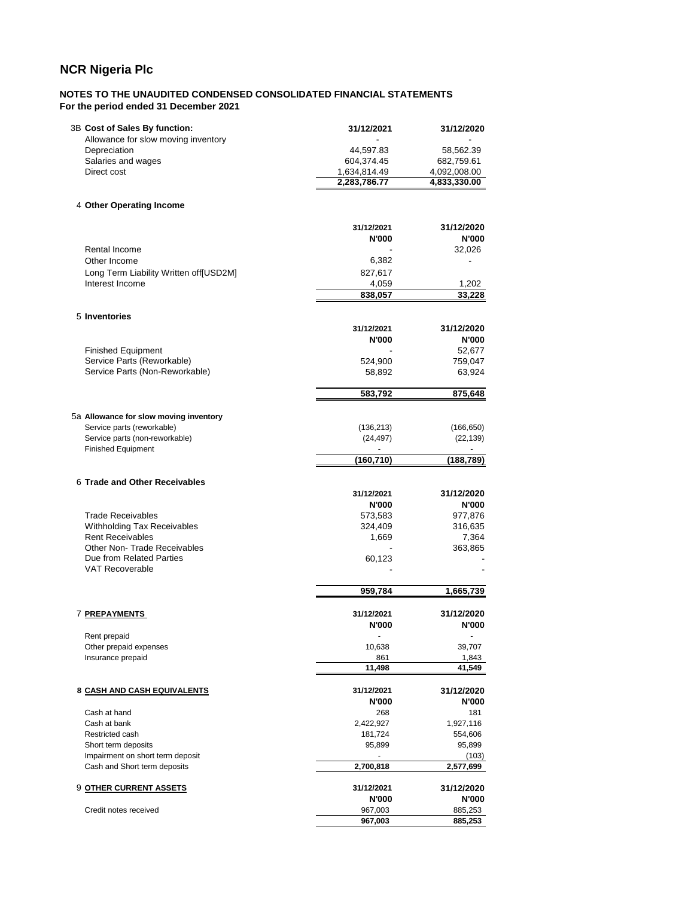## **NOTES TO THE UNAUDITED CONDENSED CONSOLIDATED FINANCIAL STATEMENTS For the period ended 31 December 2021**

| 3B Cost of Sales By function:<br>Allowance for slow moving inventory | 31/12/2021                 | 31/12/2020                 |
|----------------------------------------------------------------------|----------------------------|----------------------------|
| Depreciation                                                         | 44,597.83                  | 58,562.39                  |
| Salaries and wages                                                   | 604,374.45                 | 682,759.61                 |
| Direct cost                                                          | 1,634,814.49               | 4,092,008.00               |
|                                                                      | 2,283,786.77               | 4,833,330.00               |
| 4 Other Operating Income                                             |                            |                            |
|                                                                      |                            |                            |
|                                                                      | 31/12/2021                 | 31/12/2020                 |
|                                                                      | <b>N'000</b>               | <b>N'000</b>               |
| Rental Income                                                        |                            | 32,026                     |
| Other Income                                                         | 6,382                      |                            |
| Long Term Liability Written off[USD2M]                               | 827,617                    |                            |
| Interest Income                                                      | 4,059                      | 1,202                      |
|                                                                      | 838,057                    | 33,228                     |
| 5 Inventories                                                        |                            |                            |
|                                                                      |                            |                            |
|                                                                      | 31/12/2021<br><b>N'000</b> | 31/12/2020<br><b>N'000</b> |
| <b>Finished Equipment</b>                                            |                            | 52,677                     |
| Service Parts (Reworkable)                                           | 524,900                    | 759,047                    |
| Service Parts (Non-Reworkable)                                       | 58,892                     | 63,924                     |
|                                                                      |                            |                            |
|                                                                      | 583,792                    | 875,648                    |
| 5a Allowance for slow moving inventory                               |                            |                            |
| Service parts (reworkable)                                           | (136, 213)                 | (166, 650)                 |
| Service parts (non-reworkable)                                       | (24, 497)                  | (22, 139)                  |
| <b>Finished Equipment</b>                                            |                            |                            |
|                                                                      | (160, 710)                 | (188, 789)                 |
|                                                                      |                            |                            |
| 6 Trade and Other Receivables                                        |                            |                            |
|                                                                      | 31/12/2021                 | 31/12/2020                 |
|                                                                      | <b>N'000</b>               | <b>N'000</b>               |
| <b>Trade Receivables</b><br>Withholding Tax Receivables              | 573,583                    | 977,876                    |
| <b>Rent Receivables</b>                                              | 324,409<br>1,669           | 316,635<br>7,364           |
| <b>Other Non-Trade Receivables</b>                                   |                            | 363,865                    |
| Due from Related Parties                                             | 60,123                     |                            |
| <b>VAT Recoverable</b>                                               |                            |                            |
|                                                                      |                            |                            |
|                                                                      | 959,784                    | 1,665,739                  |
| <b>7 PREPAYMENTS</b>                                                 | 31/12/2021                 | 31/12/2020                 |
|                                                                      | <b>N'000</b>               | <b>N'000</b>               |
| Rent prepaid                                                         | ٠                          |                            |
| Other prepaid expenses                                               | 10,638                     | 39,707                     |
| Insurance prepaid                                                    | 861                        | 1,843                      |
|                                                                      | 11,498                     | 41,549                     |
|                                                                      |                            |                            |
| 8 CASH AND CASH EQUIVALENTS                                          | 31/12/2021                 | 31/12/2020                 |
|                                                                      | N'000                      | <b>N'000</b>               |
| Cash at hand                                                         | 268                        | 181                        |
| Cash at bank                                                         | 2,422,927                  | 1,927,116                  |
| Restricted cash                                                      | 181,724<br>95,899          | 554,606                    |
| Short term deposits                                                  |                            | 95,899                     |
| Impairment on short term deposit<br>Cash and Short term deposits     | 2,700,818                  | (103)<br>2,577,699         |
|                                                                      |                            |                            |
| <b>9 OTHER CURRENT ASSETS</b>                                        | 31/12/2021                 | 31/12/2020                 |
|                                                                      | N'000                      | <b>N'000</b>               |
| Credit notes received                                                | 967,003                    | 885,253                    |
|                                                                      | 967,003                    | 885,253                    |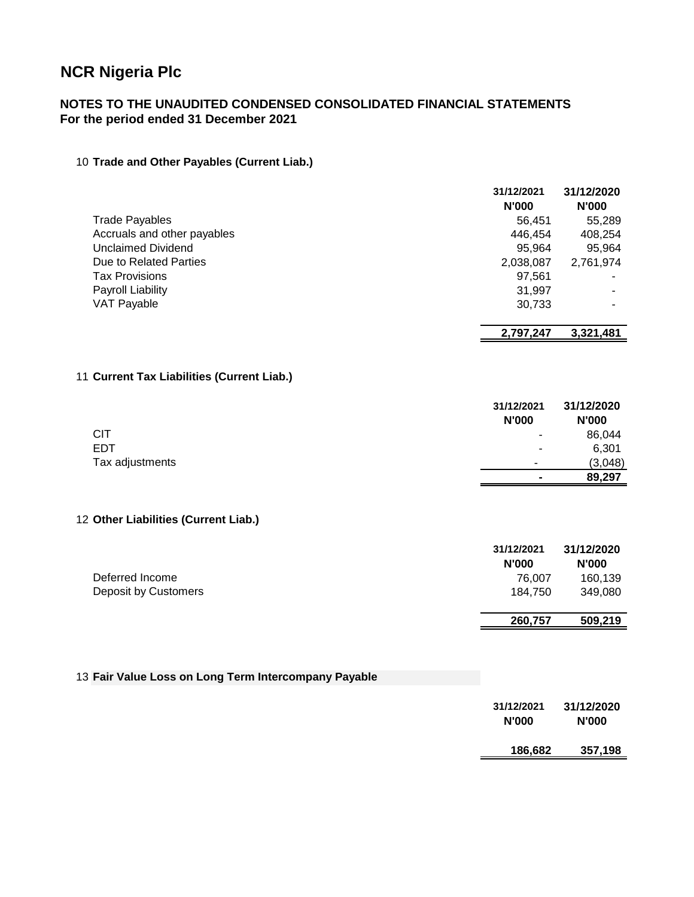## **NOTES TO THE UNAUDITED CONDENSED CONSOLIDATED FINANCIAL STATEMENTS For the period ended 31 December 2021**

## 10 **Trade and Other Payables (Current Liab.)**

|                             | 31/12/2021   | 31/12/2020   |
|-----------------------------|--------------|--------------|
|                             | <b>N'000</b> | <b>N'000</b> |
| <b>Trade Payables</b>       | 56,451       | 55,289       |
| Accruals and other payables | 446.454      | 408,254      |
| <b>Unclaimed Dividend</b>   | 95.964       | 95,964       |
| Due to Related Parties      | 2,038,087    | 2,761,974    |
| <b>Tax Provisions</b>       | 97.561       |              |
| Payroll Liability           | 31.997       |              |
| VAT Payable                 | 30,733       |              |
|                             | 2,797,247    | 3,321,481    |

## 11 **Current Tax Liabilities (Current Liab.)**

|                 | 31/12/2021               | 31/12/2020   |
|-----------------|--------------------------|--------------|
|                 | <b>N'000</b>             | <b>N'000</b> |
| <b>CIT</b>      | $\overline{\phantom{0}}$ | 86,044       |
| EDT             | $\overline{\phantom{a}}$ | 6,301        |
| Tax adjustments | ۰                        | (3,048)      |
|                 | $\overline{\phantom{a}}$ | 89,297       |

## 12 **Other Liabilities (Current Liab.)**

|                      | 31/12/2021<br><b>N'000</b> | 31/12/2020<br><b>N'000</b> |
|----------------------|----------------------------|----------------------------|
| Deferred Income      | 76.007                     | 160,139                    |
| Deposit by Customers | 184.750                    | 349.080                    |
|                      | 260,757                    | 509,219                    |

## 13 **Fair Value Loss on Long Term Intercompany Payable**

| 31/12/2021<br><b>N'000</b> | 31/12/2020<br><b>N'000</b> |
|----------------------------|----------------------------|
| 186,682                    | 357,198                    |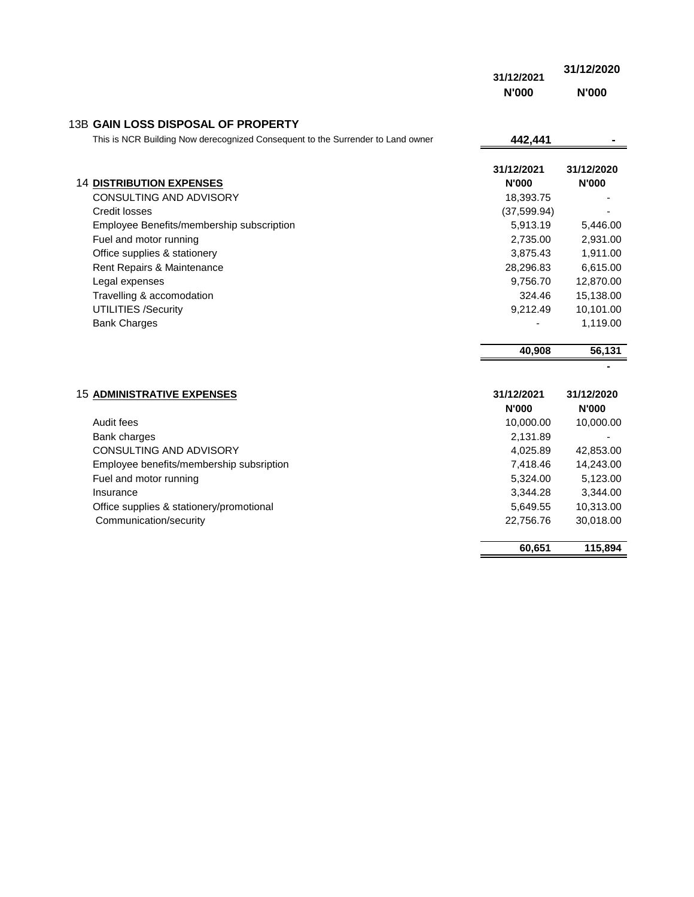|                                                                                 | 31/12/2021                 | 31/12/2020                 |
|---------------------------------------------------------------------------------|----------------------------|----------------------------|
|                                                                                 | <b>N'000</b>               | <b>N'000</b>               |
| 13B GAIN LOSS DISPOSAL OF PROPERTY                                              |                            |                            |
| This is NCR Building Now derecognized Consequent to the Surrender to Land owner | 442,441                    |                            |
| <b>14 DISTRIBUTION EXPENSES</b>                                                 | 31/12/2021<br><b>N'000</b> | 31/12/2020<br><b>N'000</b> |
| CONSULTING AND ADVISORY                                                         | 18,393.75                  |                            |
| <b>Credit losses</b>                                                            | (37,599.94)                |                            |
| Employee Benefits/membership subscription                                       | 5,913.19                   | 5,446.00                   |
| Fuel and motor running                                                          | 2,735.00                   | 2,931.00                   |
| Office supplies & stationery<br>Rent Repairs & Maintenance                      | 3,875.43<br>28,296.83      | 1,911.00<br>6,615.00       |
| Legal expenses                                                                  | 9,756.70                   | 12,870.00                  |
| Travelling & accomodation                                                       | 324.46                     | 15,138.00                  |
| <b>UTILITIES /Security</b>                                                      | 9,212.49                   | 10,101.00                  |
| <b>Bank Charges</b>                                                             |                            | 1,119.00                   |
|                                                                                 | 40,908                     | 56,131                     |
|                                                                                 |                            |                            |
| <b>15 ADMINISTRATIVE EXPENSES</b>                                               | 31/12/2021<br><b>N'000</b> | 31/12/2020<br><b>N'000</b> |
| Audit fees                                                                      | 10,000.00                  | 10,000.00                  |
| Bank charges                                                                    | 2,131.89                   |                            |
| CONSULTING AND ADVISORY                                                         | 4,025.89                   | 42,853.00                  |
| Employee benefits/membership subsription                                        | 7,418.46                   | 14,243.00                  |
| Fuel and motor running                                                          | 5,324.00                   | 5,123.00                   |
| Insurance                                                                       | 3,344.28                   | 3,344.00                   |
| Office supplies & stationery/promotional                                        | 5,649.55                   | 10,313.00                  |
| Communication/security                                                          | 22,756.76                  | 30,018.00                  |
|                                                                                 | 60,651                     | 115,894                    |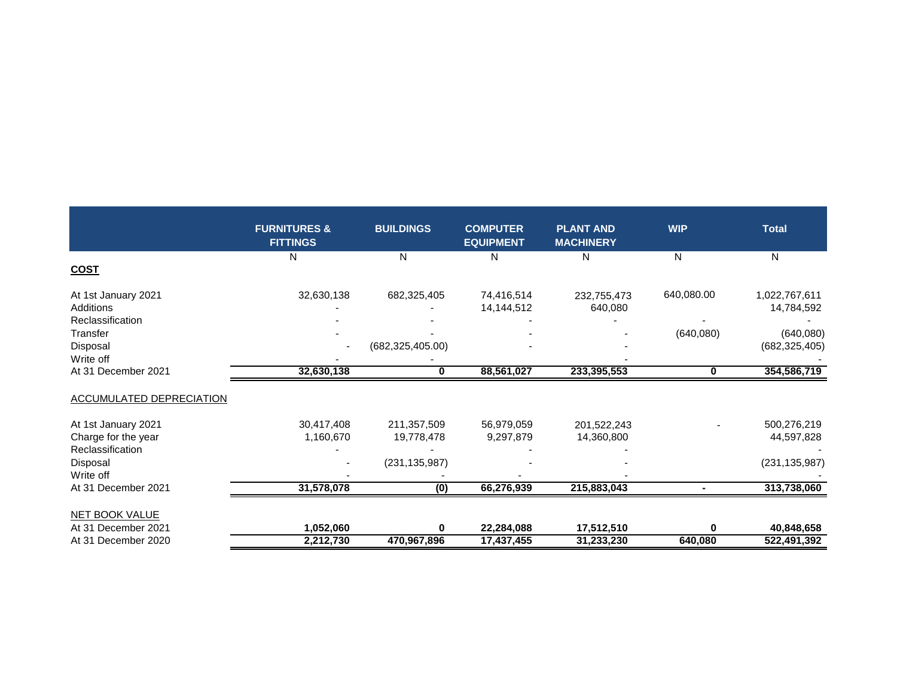|                                 | <b>FURNITURES &amp;</b><br><b>FITTINGS</b> | <b>BUILDINGS</b>   | <b>COMPUTER</b><br><b>EQUIPMENT</b> | <b>PLANT AND</b><br><b>MACHINERY</b> | <b>WIP</b> | <b>Total</b>    |
|---------------------------------|--------------------------------------------|--------------------|-------------------------------------|--------------------------------------|------------|-----------------|
|                                 | N                                          | N                  | N                                   | N                                    | Ν          | N               |
| <b>COST</b>                     |                                            |                    |                                     |                                      |            |                 |
| At 1st January 2021             | 32,630,138                                 | 682,325,405        | 74,416,514                          | 232,755,473                          | 640,080.00 | 1,022,767,611   |
| Additions                       |                                            |                    | 14,144,512                          | 640,080                              |            | 14,784,592      |
| Reclassification                |                                            |                    |                                     |                                      |            |                 |
| Transfer                        |                                            |                    |                                     |                                      | (640,080)  | (640,080)       |
| Disposal                        |                                            | (682, 325, 405.00) |                                     |                                      |            | (682, 325, 405) |
| Write off                       |                                            |                    |                                     |                                      |            |                 |
| At 31 December 2021             | 32,630,138                                 | 0                  | 88,561,027                          | 233,395,553                          | 0          | 354,586,719     |
| <b>ACCUMULATED DEPRECIATION</b> |                                            |                    |                                     |                                      |            |                 |
| At 1st January 2021             | 30,417,408                                 | 211,357,509        | 56,979,059                          | 201,522,243                          |            | 500,276,219     |
| Charge for the year             | 1,160,670                                  | 19,778,478         | 9,297,879                           | 14,360,800                           |            | 44,597,828      |
| Reclassification                |                                            |                    |                                     |                                      |            |                 |
| Disposal                        |                                            | (231, 135, 987)    |                                     |                                      |            | (231, 135, 987) |
| Write off                       |                                            |                    |                                     |                                      |            |                 |
| At 31 December 2021             | 31,578,078                                 | (0)                | 66,276,939                          | 215,883,043                          |            | 313,738,060     |
| <b>NET BOOK VALUE</b>           |                                            |                    |                                     |                                      |            |                 |
| At 31 December 2021             | 1,052,060                                  | 0                  | 22,284,088                          | 17,512,510                           | 0          | 40,848,658      |
| At 31 December 2020             | 2,212,730                                  | 470,967,896        | 17,437,455                          | 31,233,230                           | 640,080    | 522,491,392     |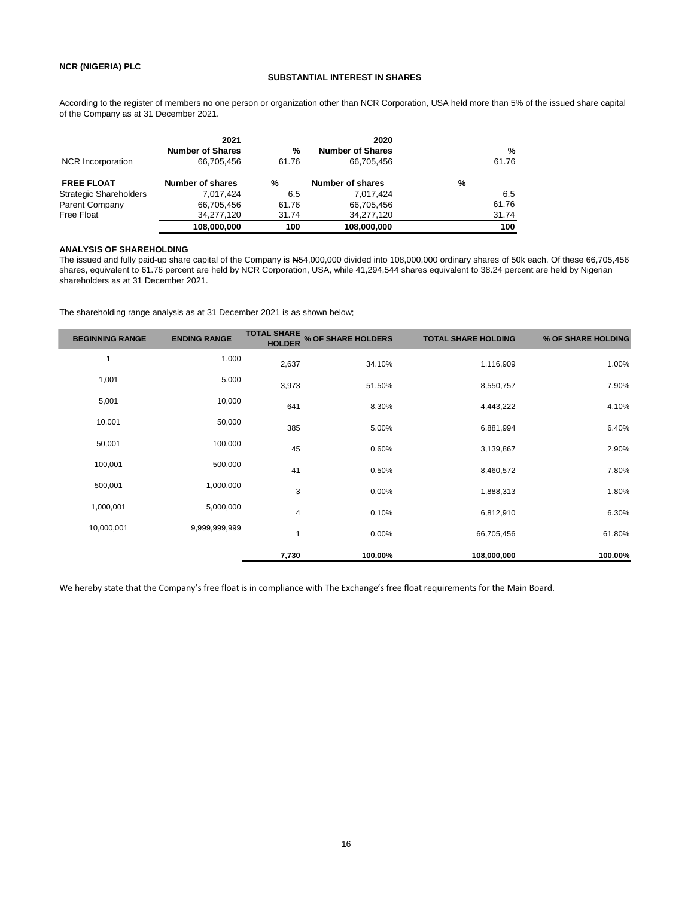### **NCR (NIGERIA) PLC**

### **SUBSTANTIAL INTEREST IN SHARES**

According to the register of members no one person or organization other than NCR Corporation, USA held more than 5% of the issued share capital of the Company as at 31 December 2021.

|                               | 2021                    |       | 2020                    |       |
|-------------------------------|-------------------------|-------|-------------------------|-------|
|                               | <b>Number of Shares</b> | %     | <b>Number of Shares</b> | %     |
| <b>NCR</b> Incorporation      | 66,705,456              | 61.76 | 66.705.456              | 61.76 |
| <b>FREE FLOAT</b>             | Number of shares        | %     | Number of shares        | %     |
| <b>Strategic Shareholders</b> | 7.017.424               | 6.5   | 7.017.424               | 6.5   |
| Parent Company                | 66,705,456              | 61.76 | 66,705,456              | 61.76 |
| Free Float                    | 34,277,120              | 31.74 | 34,277,120              | 31.74 |
|                               | 108,000,000             | 100   | 108,000,000             | 100   |

## **ANALYSIS OF SHAREHOLDING**

I

The issued and fully paid-up share capital of the Company is N54,000,000 divided into 108,000,000 ordinary shares of 50k each. Of these 66,705,456 shares, equivalent to 61.76 percent are held by NCR Corporation, USA, while 41,294,544 shares equivalent to 38.24 percent are held by Nigerian shareholders as at 31 December 2021.

The shareholding range analysis as at 31 December 2021 is as shown below;

| <b>BEGINNING RANGE</b> | <b>ENDING RANGE</b> | <b>TOTAL SHARE</b><br><b>HOLDER</b> | % OF SHARE HOLDERS | <b>TOTAL SHARE HOLDING</b> | % OF SHARE HOLDING |
|------------------------|---------------------|-------------------------------------|--------------------|----------------------------|--------------------|
| 1                      | 1,000               | 2,637                               | 34.10%             | 1,116,909                  | 1.00%              |
| 1,001                  | 5,000               | 3,973                               | 51.50%             | 8,550,757                  | 7.90%              |
| 5,001                  | 10,000              | 641                                 | 8.30%              | 4,443,222                  | 4.10%              |
| 10,001                 | 50,000              | 385                                 | 5.00%              | 6,881,994                  | 6.40%              |
| 50,001                 | 100,000             | 45                                  | 0.60%              | 3,139,867                  | 2.90%              |
| 100,001                | 500,000             | 41                                  | 0.50%              | 8,460,572                  | 7.80%              |
| 500,001                | 1,000,000           | 3                                   | 0.00%              | 1,888,313                  | 1.80%              |
| 1,000,001              | 5,000,000           | 4                                   | 0.10%              | 6,812,910                  | 6.30%              |
| 10,000,001             | 9,999,999,999       |                                     | 0.00%              | 66,705,456                 | 61.80%             |
|                        |                     | 7,730                               | 100.00%            | 108,000,000                | 100.00%            |

We hereby state that the Company's free float is in compliance with The Exchange's free float requirements for the Main Board.